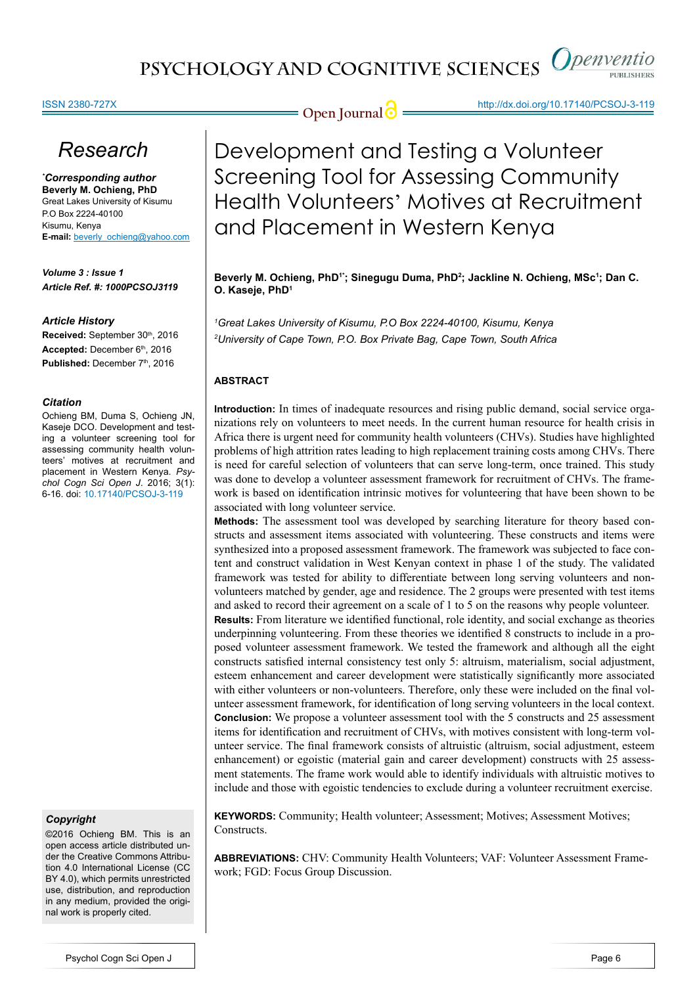## ISSN 2380-727X

**Open Journal @** http://dx.doi.org/10.17140/PCSOJ-3-119

# *Research*

*\* Corresponding author* **Beverly M. Ochieng, PhD** Great Lakes University of Kisumu P.O Box 2224-40100 Kisumu, Kenya **E-mail:** beverly\_ochieng@yahoo.com

*Volume 3 : Issue 1 Article Ref. #: 1000PCSOJ3119*

### *Article History*

Received: September 30th, 2016 Accepted: December 6<sup>th</sup>, 2016 Published: December 7<sup>th</sup>, 2016

### *Citation*

Ochieng BM, Duma S, Ochieng JN, Kaseje DCO. Development and testing a volunteer screening tool for assessing community health volunteers' motives at recruitment and placement in Western Kenya. *Psychol Cogn Sci Open J*. 2016; 3(1): 6-16. doi: [10.17140/PCSOJ-3-119](http://dx.doi.org/10.17140/PCSOJ-3-119)

## *Copyright*

©2016 Ochieng BM. This is an open access article distributed under the Creative Commons Attribution 4.0 International License (CC BY 4.0), which permits unrestricted use, distribution, and reproduction in any medium, provided the original work is properly cited.

Development and Testing a Volunteer Screening Tool for Assessing Community Health Volunteers' Motives at Recruitment and Placement in Western Kenya

Beverly M. Ochieng, PhD<sup>1</sup>'; Sinegugu Duma, PhD<sup>2</sup>; Jackline N. Ochieng, MSc<sup>1</sup>; Dan C. **O. Kaseje, PhD1**

*1 Great Lakes University of Kisumu, P.O Box 2224-40100, Kisumu, Kenya 2 University of Cape Town, P.O. Box Private Bag, Cape Town, South Africa*

## **ABSTRACT**

**Introduction:** In times of inadequate resources and rising public demand, social service organizations rely on volunteers to meet needs. In the current human resource for health crisis in Africa there is urgent need for community health volunteers (CHVs). Studies have highlighted problems of high attrition rates leading to high replacement training costs among CHVs. There is need for careful selection of volunteers that can serve long-term, once trained. This study was done to develop a volunteer assessment framework for recruitment of CHVs. The framework is based on identification intrinsic motives for volunteering that have been shown to be associated with long volunteer service.

**Methods:** The assessment tool was developed by searching literature for theory based constructs and assessment items associated with volunteering. These constructs and items were synthesized into a proposed assessment framework. The framework was subjected to face content and construct validation in West Kenyan context in phase 1 of the study. The validated framework was tested for ability to differentiate between long serving volunteers and nonvolunteers matched by gender, age and residence. The 2 groups were presented with test items and asked to record their agreement on a scale of 1 to 5 on the reasons why people volunteer.

**Results:** From literature we identified functional, role identity, and social exchange as theories underpinning volunteering. From these theories we identified 8 constructs to include in a proposed volunteer assessment framework. We tested the framework and although all the eight constructs satisfied internal consistency test only 5: altruism, materialism, social adjustment, esteem enhancement and career development were statistically significantly more associated with either volunteers or non-volunteers. Therefore, only these were included on the final volunteer assessment framework, for identification of long serving volunteers in the local context. **Conclusion:** We propose a volunteer assessment tool with the 5 constructs and 25 assessment items for identification and recruitment of CHVs, with motives consistent with long-term volunteer service. The final framework consists of altruistic (altruism, social adjustment, esteem enhancement) or egoistic (material gain and career development) constructs with 25 assessment statements. The frame work would able to identify individuals with altruistic motives to include and those with egoistic tendencies to exclude during a volunteer recruitment exercise.

**KEYWORDS:** Community; Health volunteer; Assessment; Motives; Assessment Motives; **Constructs** 

**ABBREVIATIONS:** CHV: Community Health Volunteers; VAF: Volunteer Assessment Framework; FGD: Focus Group Discussion.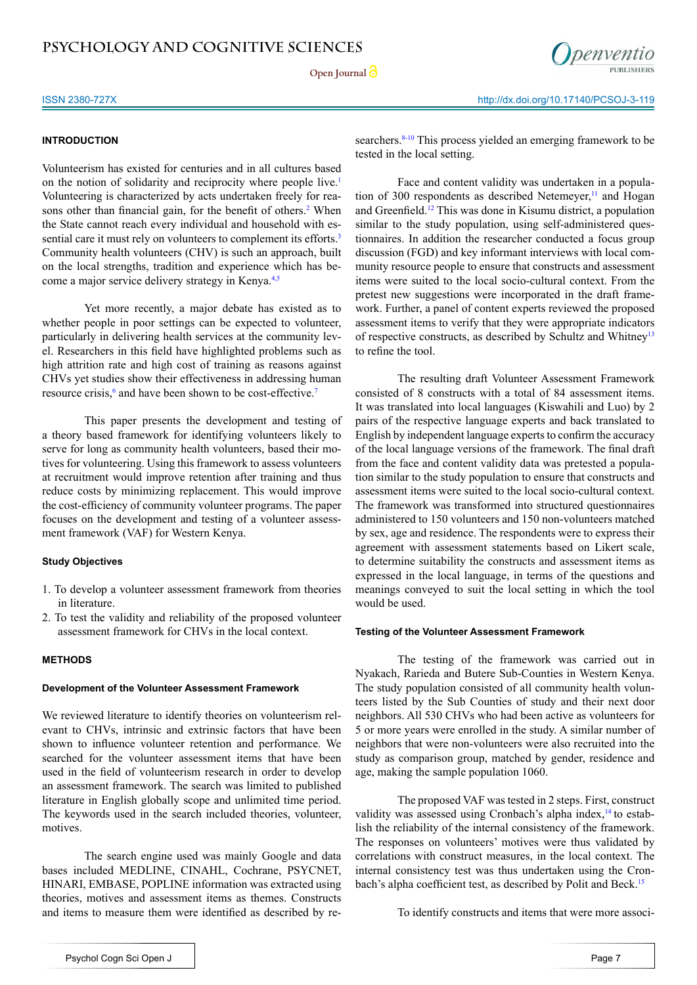Open Journal<sup>2</sup>



## **INTRODUCTION**

Volunteerism has existed for centuries and in all cultures based on the notion of solidarity and reciprocity where people live.[1](#page-9-0) Volunteering is characterized by acts undertaken freely for rea-sons other than financial gain, for the benefit of others.<sup>[2](#page-7-0)</sup> When the State cannot reach every individual and household with es-sential care it must rely on volunteers to complement its efforts.<sup>[3](#page-7-1)</sup> Community health volunteers (CHV) is such an approach, built on the local strengths, tradition and experience which has become a major service delivery strategy in Kenya[.4,5](#page-7-2)

Yet more recently, a major debate has existed as to whether people in poor settings can be expected to volunteer, particularly in delivering health services at the community level. Researchers in this field have highlighted problems such as high attrition rate and high cost of training as reasons against CHVs yet studies show their effectiveness in addressing human resource crisis,<sup>[6](#page-7-3)</sup> and have been shown to be cost-effective.<sup>[7](#page-7-4)</sup>

This paper presents the development and testing of a theory based framework for identifying volunteers likely to serve for long as community health volunteers, based their motives for volunteering. Using this framework to assess volunteers at recruitment would improve retention after training and thus reduce costs by minimizing replacement. This would improve the cost-efficiency of community volunteer programs. The paper focuses on the development and testing of a volunteer assessment framework (VAF) for Western Kenya.

## **Study Objectives**

- 1. To develop a volunteer assessment framework from theories in literature.
- 2. To test the validity and reliability of the proposed volunteer assessment framework for CHVs in the local context.

## **METHODS**

## **Development of the Volunteer Assessment Framework**

We reviewed literature to identify theories on volunteerism relevant to CHVs, intrinsic and extrinsic factors that have been shown to influence volunteer retention and performance. We searched for the volunteer assessment items that have been used in the field of volunteerism research in order to develop an assessment framework. The search was limited to published literature in English globally scope and unlimited time period. The keywords used in the search included theories, volunteer, motives.

The search engine used was mainly Google and data bases included MEDLINE, CINAHL, Cochrane, PSYCNET, HINARI, EMBASE, POPLINE information was extracted using theories, motives and assessment items as themes. Constructs and items to measure them were identified as described by researchers.<sup>[8-10](#page-8-0)</sup> This process yielded an emerging framework to be tested in the local setting.

Face and content validity was undertaken in a population of 300 respondents as described Netemeyer, $<sup>11</sup>$  and Hogan</sup> and Greenfield.[12](#page-8-2) This was done in Kisumu district, a population similar to the study population, using self-administered questionnaires. In addition the researcher conducted a focus group discussion (FGD) and key informant interviews with local community resource people to ensure that constructs and assessment items were suited to the local socio-cultural context. From the pretest new suggestions were incorporated in the draft framework. Further, a panel of content experts reviewed the proposed assessment items to verify that they were appropriate indicators of respective constructs, as described by Schultz and Whitney<sup>13</sup> to refine the tool.

The resulting draft Volunteer Assessment Framework consisted of 8 constructs with a total of 84 assessment items. It was translated into local languages (Kiswahili and Luo) by 2 pairs of the respective language experts and back translated to English by independent language experts to confirm the accuracy of the local language versions of the framework. The final draft from the face and content validity data was pretested a population similar to the study population to ensure that constructs and assessment items were suited to the local socio-cultural context. The framework was transformed into structured questionnaires administered to 150 volunteers and 150 non-volunteers matched by sex, age and residence. The respondents were to express their agreement with assessment statements based on Likert scale, to determine suitability the constructs and assessment items as expressed in the local language, in terms of the questions and meanings conveyed to suit the local setting in which the tool would be used.

### **Testing of the Volunteer Assessment Framework**

The testing of the framework was carried out in Nyakach, Rarieda and Butere Sub-Counties in Western Kenya. The study population consisted of all community health volunteers listed by the Sub Counties of study and their next door neighbors. All 530 CHVs who had been active as volunteers for 5 or more years were enrolled in the study. A similar number of neighbors that were non-volunteers were also recruited into the study as comparison group, matched by gender, residence and age, making the sample population 1060.

The proposed VAF was tested in 2 steps. First, construct validity was assessed using Cronbach's alpha index,<sup>[14](#page-8-4)</sup> to establish the reliability of the internal consistency of the framework. The responses on volunteers' motives were thus validated by correlations with construct measures, in the local context. The internal consistency test was thus undertaken using the Cron-bach's alpha coefficient test, as described by Polit and Beck.<sup>[15](#page-8-5)</sup>

To identify constructs and items that were more associ-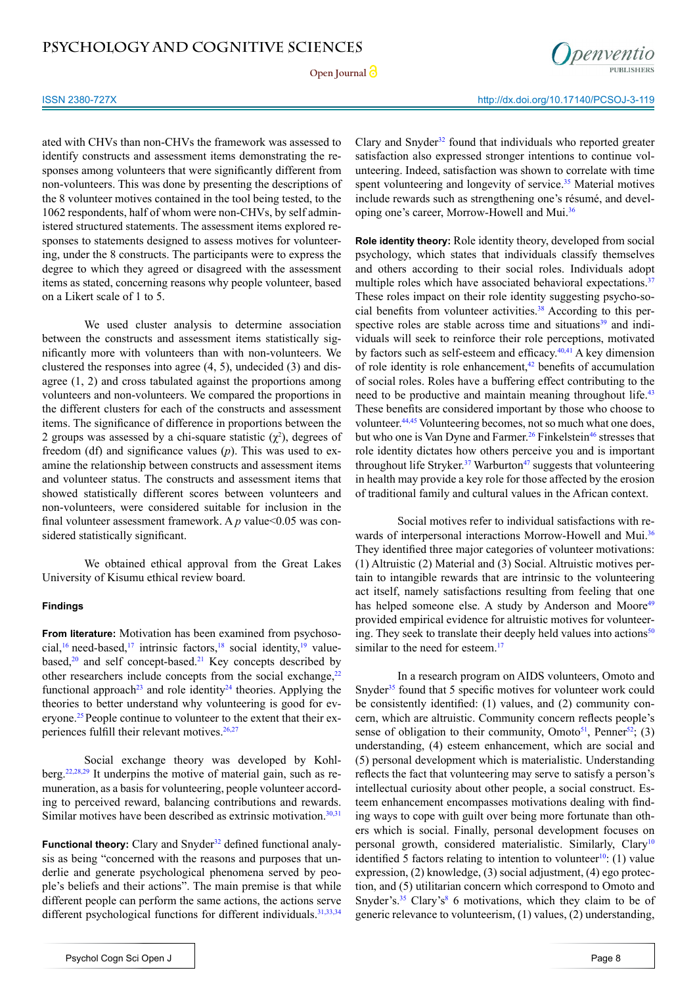Open Journal<sup>2</sup>



ISSN 2380-727X http://dx.doi.org/10.17140/PCSOJ-3-119

ated with CHVs than non-CHVs the framework was assessed to identify constructs and assessment items demonstrating the responses among volunteers that were significantly different from non-volunteers. This was done by presenting the descriptions of the 8 volunteer motives contained in the tool being tested, to the 1062 respondents, half of whom were non-CHVs, by self administered structured statements. The assessment items explored responses to statements designed to assess motives for volunteering, under the 8 constructs. The participants were to express the degree to which they agreed or disagreed with the assessment items as stated, concerning reasons why people volunteer, based on a Likert scale of 1 to 5.

We used cluster analysis to determine association between the constructs and assessment items statistically significantly more with volunteers than with non-volunteers. We clustered the responses into agree (4, 5), undecided (3) and disagree (1, 2) and cross tabulated against the proportions among volunteers and non-volunteers. We compared the proportions in the different clusters for each of the constructs and assessment items. The significance of difference in proportions between the 2 groups was assessed by a chi-square statistic  $(\chi^2)$ , degrees of freedom (df) and significance values (*p*). This was used to examine the relationship between constructs and assessment items and volunteer status. The constructs and assessment items that showed statistically different scores between volunteers and non-volunteers, were considered suitable for inclusion in the final volunteer assessment framework. A *p* value < 0.05 was considered statistically significant.

We obtained ethical approval from the Great Lakes University of Kisumu ethical review board.

## **Findings**

**From literature:** Motivation has been examined from psychoso-cial,<sup>[16](#page-8-6)</sup> need-based,<sup>17</sup> intrinsic factors,<sup>[18](#page-8-8)</sup> social identity,<sup>19</sup> valuebased, $20$  and self concept-based.<sup>[21](#page-8-11)</sup> Key concepts described by other researchers include concepts from the social exchange, $22$ functional approach<sup>23</sup> and role identity<sup>24</sup> theories. Applying the theories to better understand why volunteering is good for ev-eryone.<sup>[25](#page-8-15)</sup> People continue to volunteer to the extent that their experiences fulfill their relevant motives.[26,27](#page-8-16)

Social exchange theory was developed by Kohlberg.[22](#page-8-12)[,28,29](#page-8-17) It underpins the motive of material gain, such as remuneration, as a basis for volunteering, people volunteer according to perceived reward, balancing contributions and rewards. Similar motives have been described as extrinsic motivation. $30,31$ 

**Functional theory:** Clary and Snyder<sup>32</sup> defined functional analysis as being "concerned with the reasons and purposes that underlie and generate psychological phenomena served by people's beliefs and their actions". The main premise is that while different people can perform the same actions, the actions serve different psychological functions for different individuals.<sup>31,33,34</sup>

Clary and Snyder $32$  found that individuals who reported greater satisfaction also expressed stronger intentions to continue volunteering. Indeed, satisfaction was shown to correlate with time spent volunteering and longevity of service.<sup>35</sup> Material motives include rewards such as strengthening one's résumé, and developing one's career, Morrow-Howell and Mui.[36](#page-9-2)

**Role identity theory:** Role identity theory, developed from social psychology, which states that individuals classify themselves and others according to their social roles. Individuals adopt multiple roles which have associated behavioral expectations.<sup>37</sup> These roles impact on their role identity suggesting psycho-social benefits from volunteer activities.<sup>38</sup> According to this perspective roles are stable across time and situations<sup>39</sup> and individuals will seek to reinforce their role perceptions, motivated by factors such as self-esteem and efficacy.<sup>40,41</sup> A key dimension of role identity is role enhancement, $42$  benefits of accumulation of social roles. Roles have a buffering effect contributing to the need to be productive and maintain meaning throughout life.<sup>43</sup> These benefits are considered important by those who choose to volunteer[.44,45](#page-9-9) Volunteering becomes, not so much what one does, but who one is Van Dyne and Farmer.<sup>26</sup> Finkelstein<sup>46</sup> stresses that role identity dictates how others perceive you and is important throughout life Stryker.<sup>37</sup> Warburton<sup>47</sup> suggests that volunteering in health may provide a key role for those affected by the erosion of traditional family and cultural values in the African context.

Social motives refer to individual satisfactions with rewards of interpersonal interactions Morrow-Howell and Mui.<sup>36</sup> They identified three major categories of volunteer motivations: (1) Altruistic (2) Material and (3) Social. Altruistic motives pertain to intangible rewards that are intrinsic to the volunteering act itself, namely satisfactions resulting from feeling that one has helped someone else. A study by Anderson and Moore<sup>49</sup> provided empirical evidence for altruistic motives for volunteering. They seek to translate their deeply held values into actions $50$ similar to the need for esteem.<sup>[17](#page-8-7)</sup>

In a research program on AIDS volunteers, Omoto and Snyder<sup>[35](#page-9-1)</sup> found that 5 specific motives for volunteer work could be consistently identified: (1) values, and (2) community concern, which are altruistic. Community concern reflects people's sense of obligation to their community, Omoto $51$ , Penner $52$ ; (3) understanding, (4) esteem enhancement, which are social and (5) personal development which is materialistic. Understanding reflects the fact that volunteering may serve to satisfy a person's intellectual curiosity about other people, a social construct. Esteem enhancement encompasses motivations dealing with finding ways to cope with guilt over being more fortunate than others which is social. Finally, personal development focuses on personal growth, considered materialistic. Similarly, Clary<sup>[10](#page-8-21)</sup> identified 5 factors relating to intention to volunteer<sup>10</sup>: (1) value expression, (2) knowledge, (3) social adjustment, (4) ego protection, and (5) utilitarian concern which correspond to Omoto and Snyder's. $35$  Clary's<sup>[8](#page-8-0)</sup> 6 motivations, which they claim to be of generic relevance to volunteerism, (1) values, (2) understanding,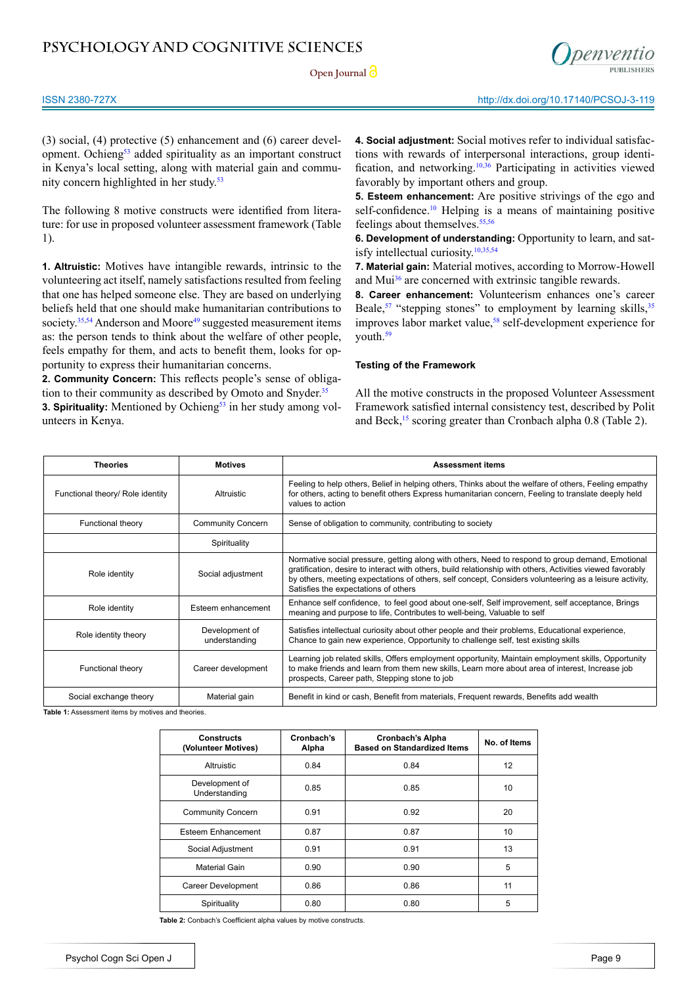**Open Journal** 



(3) social, (4) protective (5) enhancement and (6) career devel-opment. Ochieng<sup>[53](#page-9-16)</sup> added spirituality as an important construct in Kenya's local setting, along with material gain and community concern highlighted in her study.<sup>53</sup>

The following 8 motive constructs were identified from literature: for use in proposed volunteer assessment framework (Table 1).

**1. Altruistic:** Motives have intangible rewards, intrinsic to the volunteering act itself, namely satisfactions resulted from feeling that one has helped someone else. They are based on underlying beliefs held that one should make humanitarian contributions to society.<sup>35[,54](#page-9-17)</sup> Anderson and Moore<sup>49</sup> suggested measurement items as: the person tends to think about the welfare of other people, feels empathy for them, and acts to benefit them, looks for opportunity to express their humanitarian concerns.

**2. Community Concern:** This reflects people's sense of obliga-tion to their community as described by Omoto and Snyder.<sup>[35](#page-9-1)</sup>

**3. Spirituality:** Mentioned by Ochieng<sup>53</sup> in her study among volunteers in Kenya.

**4. Social adjustment:** Social motives refer to individual satisfactions with rewards of interpersonal interactions, group identification, and networking.[10](#page-8-21),[36](#page-9-2) Participating in activities viewed favorably by important others and group.

**5. Esteem enhancement:** Are positive strivings of the ego and self-confidence.<sup>10</sup> Helping is a means of maintaining positive feelings about themselves.<sup>55,56</sup>

**6. Development of understanding:** Opportunity to learn, and satisfy intellectual curiosity.[10,](#page-8-21)[35](#page-9-1)[,54](#page-9-17)

**7. Material gain:** Material motives, according to Morrow-Howell and Mui<sup>36</sup> are concerned with extrinsic tangible rewards.

**8. Career enhancement:** Volunteerism enhances one's career Beale,<sup>57</sup> "stepping stones" to employment by learning skills,  $35$ improves labor market value,<sup>[58](#page-9-20)</sup> self-development experience for youth.<sup>[59](#page-10-0)</sup>

### **Testing of the Framework**

All the motive constructs in the proposed Volunteer Assessment Framework satisfied internal consistency test, described by Polit and Beck,<sup>[15](#page-8-5)</sup> scoring greater than Cronbach alpha 0.8 (Table 2).

| <b>Theories</b>                  | <b>Motives</b>                  | <b>Assessment items</b>                                                                                                                                                                                                                                                                                                                                          |
|----------------------------------|---------------------------------|------------------------------------------------------------------------------------------------------------------------------------------------------------------------------------------------------------------------------------------------------------------------------------------------------------------------------------------------------------------|
| Functional theory/ Role identity | Altruistic                      | Feeling to help others, Belief in helping others, Thinks about the welfare of others, Feeling empathy<br>for others, acting to benefit others Express humanitarian concern, Feeling to translate deeply held<br>values to action                                                                                                                                 |
| Functional theory                | <b>Community Concern</b>        | Sense of obligation to community, contributing to society                                                                                                                                                                                                                                                                                                        |
|                                  | Spirituality                    |                                                                                                                                                                                                                                                                                                                                                                  |
| Role identity                    | Social adjustment               | Normative social pressure, getting along with others, Need to respond to group demand, Emotional<br>gratification, desire to interact with others, build relationship with others, Activities viewed favorably<br>by others, meeting expectations of others, self concept, Considers volunteering as a leisure activity,<br>Satisfies the expectations of others |
| Role identity                    | Esteem enhancement              | Enhance self confidence, to feel good about one-self, Self improvement, self acceptance, Brings<br>meaning and purpose to life, Contributes to well-being, Valuable to self                                                                                                                                                                                      |
| Role identity theory             | Development of<br>understanding | Satisfies intellectual curiosity about other people and their problems, Educational experience,<br>Chance to gain new experience, Opportunity to challenge self, test existing skills                                                                                                                                                                            |
| Functional theory                | Career development              | Learning job related skills, Offers employment opportunity, Maintain employment skills, Opportunity<br>to make friends and learn from them new skills, Learn more about area of interest, Increase job<br>prospects, Career path, Stepping stone to job                                                                                                          |
| Social exchange theory           | Material gain                   | Benefit in kind or cash, Benefit from materials, Frequent rewards, Benefits add wealth                                                                                                                                                                                                                                                                           |

Table 1: Assessment items by motives and theories

| <b>Constructs</b><br>(Volunteer Motives) | Cronbach's<br>Alpha | <b>Cronbach's Alpha</b><br><b>Based on Standardized Items</b> | No. of Items |
|------------------------------------------|---------------------|---------------------------------------------------------------|--------------|
| Altruistic                               | 0.84                | 0.84                                                          | 12           |
| Development of<br>Understanding          | 0.85                | 0.85                                                          | 10           |
| <b>Community Concern</b>                 | 0.91                | 0.92                                                          | 20           |
| <b>Esteem Enhancement</b>                | 0.87                | 0.87                                                          | 10           |
| Social Adjustment                        | 0.91                | 0.91                                                          | 13           |
| Material Gain                            | 0.90                | 0.90                                                          | 5            |
| Career Development                       | 0.86                | 0.86                                                          | 11           |
| Spirituality                             | 0.80                | 0.80                                                          | 5            |

**Table 2:** Conbach's Coefficient alpha values by motive constructs.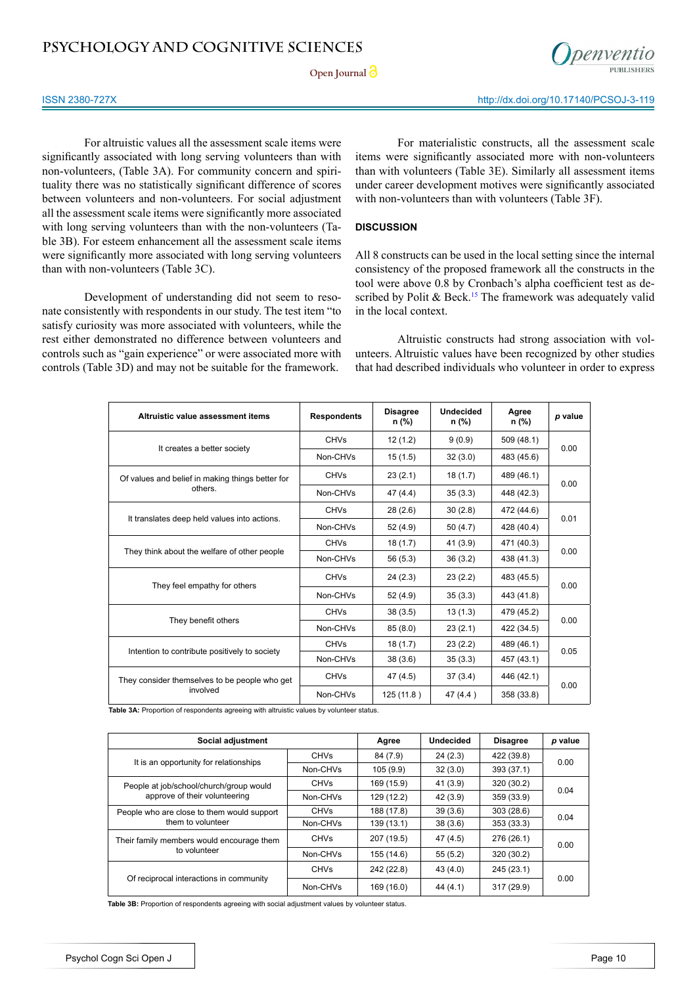**Open Journal** 



For altruistic values all the assessment scale items were significantly associated with long serving volunteers than with non-volunteers, (Table 3A). For community concern and spirituality there was no statistically significant difference of scores between volunteers and non-volunteers. For social adjustment all the assessment scale items were significantly more associated with long serving volunteers than with the non-volunteers (Table 3B). For esteem enhancement all the assessment scale items were significantly more associated with long serving volunteers than with non-volunteers (Table 3C).

Development of understanding did not seem to resonate consistently with respondents in our study. The test item "to satisfy curiosity was more associated with volunteers, while the rest either demonstrated no difference between volunteers and controls such as "gain experience" or were associated more with controls (Table 3D) and may not be suitable for the framework.

For materialistic constructs, all the assessment scale items were significantly associated more with non-volunteers than with volunteers (Table 3E). Similarly all assessment items under career development motives were significantly associated with non-volunteers than with volunteers (Table 3F).

## **DISCUSSION**

All 8 constructs can be used in the local setting since the internal consistency of the proposed framework all the constructs in the tool were above 0.8 by Cronbach's alpha coefficient test as described by Polit  $\&$  Beck.<sup>[15](#page-8-5)</sup> The framework was adequately valid in the local context.

Altruistic constructs had strong association with volunteers. Altruistic values have been recognized by other studies that had described individuals who volunteer in order to express

| Altruistic value assessment items                | <b>Respondents</b> | <b>Disagree</b><br>n (%) | Undecided<br>n (%) | Agree<br>n (%) | p value |  |
|--------------------------------------------------|--------------------|--------------------------|--------------------|----------------|---------|--|
| It creates a better society                      | <b>CHVs</b>        | 12 (1.2)                 | 9(0.9)             | 509 (48.1)     | 0.00    |  |
|                                                  | Non-CHVs           | 15(1.5)                  | 32(3.0)            | 483 (45.6)     |         |  |
| Of values and belief in making things better for | <b>CHVs</b>        | 23(2.1)                  | 18(1.7)            | 489 (46.1)     | 0.00    |  |
| others.                                          | Non-CHVs           | 47 (4.4)                 | 35(3.3)            | 448 (42.3)     |         |  |
| It translates deep held values into actions.     | <b>CHVs</b>        | 28(2.6)                  | 30(2.8)            | 472 (44.6)     | 0.01    |  |
|                                                  | Non-CHVs           | 52(4.9)                  | 50(4.7)            | 428 (40.4)     |         |  |
|                                                  | <b>CHVs</b>        | 18(1.7)                  | 41(3.9)            | 471 (40.3)     | 0.00    |  |
| They think about the welfare of other people     | Non-CHVs           | 56 (5.3)                 | 36(3.2)            | 438 (41.3)     |         |  |
| They feel empathy for others                     | <b>CHVs</b>        | 24(2.3)                  | 23(2.2)            | 483 (45.5)     | 0.00    |  |
|                                                  | Non-CHVs           | 52 (4.9)                 | 35(3.3)            | 443 (41.8)     |         |  |
|                                                  | <b>CHVs</b>        | 38(3.5)                  | 13(1.3)            | 479 (45.2)     |         |  |
| They benefit others                              | Non-CHVs           | 85(8.0)                  | 23(2.1)            | 422 (34.5)     | 0.00    |  |
|                                                  | <b>CHVs</b>        | 18(1.7)                  | 23(2.2)            | 489 (46.1)     | 0.05    |  |
| Intention to contribute positively to society    | Non-CHVs           | 38(3.6)                  | 35(3.3)            | 457 (43.1)     |         |  |
| They consider themselves to be people who get    | <b>CHVs</b>        | 47 (4.5)                 | 37(3.4)            | 446 (42.1)     | 0.00    |  |
| involved                                         | Non-CHVs           | 125 (11.8)               | 47 $(4.4)$         | 358 (33.8)     |         |  |

**Table 3A:** Proportion of respondents agreeing with altruistic values by volunteer status.

| Social adjustment                          |             | Agree      | <b>Undecided</b> | <b>Disagree</b> | p value |  |
|--------------------------------------------|-------------|------------|------------------|-----------------|---------|--|
|                                            | <b>CHVs</b> | 84 (7.9)   | 24(2.3)          | 422 (39.8)      | 0.00    |  |
| It is an opportunity for relationships     | Non-CHVs    | 105(9.9)   | 32(3.0)          | 393 (37.1)      |         |  |
| People at job/school/church/group would    | <b>CHVs</b> | 169 (15.9) | 41 (3.9)         | 320 (30.2)      |         |  |
| approve of their volunteering              | Non-CHVs    | 129 (12.2) | 42 (3.9)         | 359 (33.9)      | 0.04    |  |
| People who are close to them would support | <b>CHVs</b> | 188 (17.8) | 39(3.6)          | 303(28.6)       | 0.04    |  |
| them to volunteer                          | Non-CHVs    | 139 (13.1) | 38(3.6)          | 353 (33.3)      |         |  |
| Their family members would encourage them  | <b>CHVs</b> | 207 (19.5) | 47 (4.5)         | 276 (26.1)      | 0.00    |  |
| to volunteer                               | Non-CHVs    | 155 (14.6) | 55(5.2)          | 320 (30.2)      |         |  |
| Of reciprocal interactions in community    | <b>CHVs</b> | 242 (22.8) | 43 (4.0)         | 245 (23.1)      |         |  |
|                                            | Non-CHVs    | 169 (16.0) | 44 $(4.1)$       | 317 (29.9)      | 0.00    |  |

**Table 3B:** Proportion of respondents agreeing with social adjustment values by volunteer status.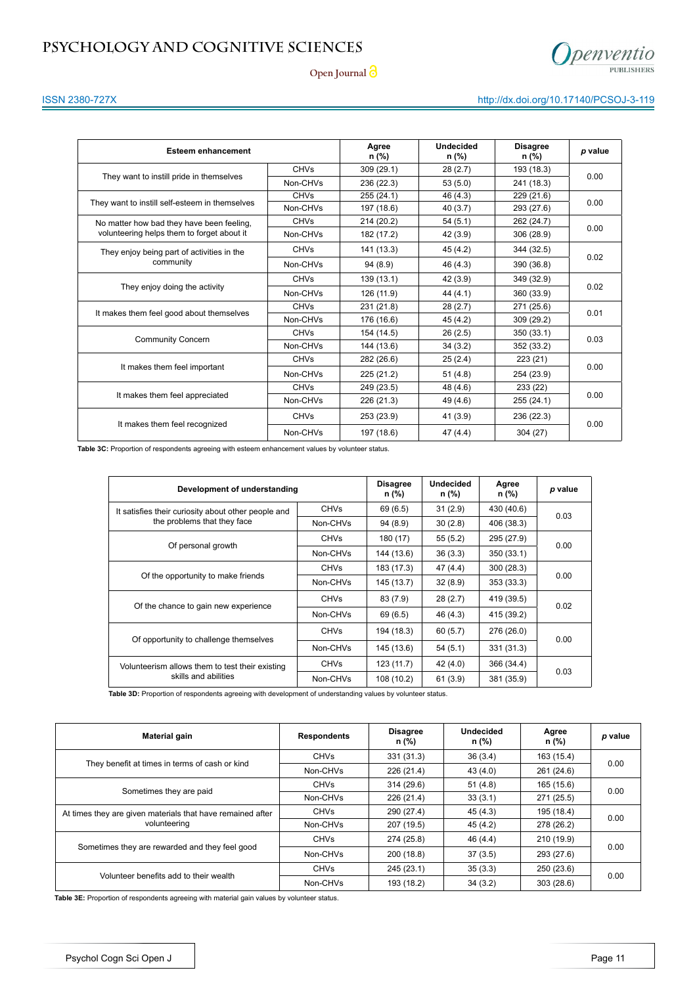

**Open Journal**

## ISSN 2380-727X http://dx.doi.org/10.17140/PCSOJ-3-119

| <b>Esteem enhancement</b>                      |             | Agree<br>n (%) | <b>Undecided</b><br>n (%) | <b>Disagree</b><br>n (%) | p value |  |
|------------------------------------------------|-------------|----------------|---------------------------|--------------------------|---------|--|
|                                                | <b>CHVs</b> | 309(29.1)      | 28(2.7)                   | 193 (18.3)               | 0.00    |  |
| They want to instill pride in themselves       | Non-CHVs    | 236 (22.3)     | 53(5.0)                   | 241 (18.3)               |         |  |
|                                                | <b>CHVs</b> | 255 (24.1)     | 46 (4.3)                  | 229 (21.6)               |         |  |
| They want to instill self-esteem in themselves | Non-CHVs    | 197 (18.6)     | 40(3.7)                   | 293 (27.6)               | 0.00    |  |
| No matter how bad they have been feeling,      | <b>CHVs</b> | 214 (20.2)     | 54(5.1)                   | 262 (24.7)               |         |  |
| volunteering helps them to forget about it     | Non-CHVs    | 182 (17.2)     | 42 (3.9)                  | 306 (28.9)               | 0.00    |  |
| They enjoy being part of activities in the     | <b>CHVs</b> | 141 (13.3)     | 45(4.2)                   | 344 (32.5)               |         |  |
| community                                      | Non-CHVs    | 94(8.9)        | 46 (4.3)                  | 390 (36.8)               | 0.02    |  |
| They enjoy doing the activity                  | <b>CHVs</b> | 139 (13.1)     | 42 (3.9)                  | 349 (32.9)               |         |  |
|                                                | Non-CHVs    | 126 (11.9)     | 44 (4.1)                  | 360 (33.9)               | 0.02    |  |
|                                                | <b>CHVs</b> | 231 (21.8)     | 28(2.7)                   | 271 (25.6)               |         |  |
| It makes them feel good about themselves       | Non-CHVs    | 176 (16.6)     | 45(4.2)                   | 309 (29.2)               | 0.01    |  |
| <b>Community Concern</b>                       | <b>CHVs</b> | 154 (14.5)     | 26(2.5)                   | 350 (33.1)               | 0.03    |  |
|                                                | Non-CHVs    | 144 (13.6)     | 34(3.2)                   | 352 (33.2)               |         |  |
|                                                | <b>CHVs</b> | 282 (26.6)     | 25(2.4)                   | 223 (21)                 |         |  |
| It makes them feel important                   | Non-CHVs    | 225 (21.2)     | 51(4.8)                   | 254 (23.9)               | 0.00    |  |
|                                                | <b>CHVs</b> | 249 (23.5)     | 48 (4.6)                  | 233 (22)                 |         |  |
| It makes them feel appreciated                 | Non-CHVs    | 226 (21.3)     | 49 (4.6)                  | 255 (24.1)               | 0.00    |  |
| It makes them feel recognized                  | <b>CHVs</b> | 253 (23.9)     | 41 (3.9)                  | 236 (22.3)               | 0.00    |  |
|                                                | Non-CHVs    | 197 (18.6)     | 47(4.4)                   | 304(27)                  |         |  |

**Table 3C:** Proportion of respondents agreeing with esteem enhancement values by volunteer status.

| Development of understanding                        |             | <b>Disagree</b><br>n (%) | <b>Undecided</b><br>n (%) | Agree<br>n (%) | p value |  |
|-----------------------------------------------------|-------------|--------------------------|---------------------------|----------------|---------|--|
| It satisfies their curiosity about other people and | <b>CHVs</b> | 69 (6.5)                 | 31(2.9)                   | 430 (40.6)     | 0.03    |  |
| the problems that they face                         | Non-CHVs    | 94(8.9)                  | 30(2.8)                   | 406 (38.3)     |         |  |
|                                                     | <b>CHVs</b> | 180 (17)                 | 55(5.2)                   | 295 (27.9)     |         |  |
| Of personal growth                                  | Non-CHVs    | 144 (13.6)               | 36(3.3)                   | 350 (33.1)     | 0.00    |  |
|                                                     | <b>CHVs</b> | 183 (17.3)               | 47 (4.4)                  | 300 (28.3)     | 0.00    |  |
| Of the opportunity to make friends                  | Non-CHVs    | 145 (13.7)               | 32(8.9)                   | 353 (33.3)     |         |  |
| Of the chance to gain new experience                | <b>CHVs</b> | 83 (7.9)                 | 28(2.7)                   | 419 (39.5)     | 0.02    |  |
|                                                     | Non-CHVs    | 69 (6.5)                 | 46 (4.3)                  | 415 (39.2)     |         |  |
| Of opportunity to challenge themselves              | <b>CHVs</b> | 194 (18.3)               | 60 (5.7)                  | 276 (26.0)     | 0.00    |  |
|                                                     | Non-CHVs    | 145 (13.6)               | 54(5.1)                   | 331 (31.3)     |         |  |
| Volunteerism allows them to test their existing     | <b>CHVs</b> | 123 (11.7)               | 42 (4.0)                  | 366 (34.4)     |         |  |
| skills and abilities                                | Non-CHVs    | 108 (10.2)               | 61(3.9)                   | 381 (35.9)     | 0.03    |  |

Table 3D: Proportion of respondents agreeing with development of understanding values by volunteer status.

| <b>Material gain</b>                                       | <b>Respondents</b> | <b>Disagree</b><br>n (%) | <b>Undecided</b><br>n (%) | Agree<br>n (%) | p value |  |
|------------------------------------------------------------|--------------------|--------------------------|---------------------------|----------------|---------|--|
| They benefit at times in terms of cash or kind             | <b>CHVs</b>        | 331 (31.3)               | 36(3.4)                   | 163 (15.4)     |         |  |
|                                                            | Non-CHVs           | 226 (21.4)               | 43 (4.0)                  | 261 (24.6)     | 0.00    |  |
| Sometimes they are paid                                    | <b>CHVs</b>        | 314 (29.6)               | 51(4.8)                   | 165 (15.6)     | 0.00    |  |
|                                                            | Non-CHVs           | 226 (21.4)               | 33(3.1)                   | 271 (25.5)     |         |  |
| At times they are given materials that have remained after | <b>CHVs</b>        | 290 (27.4)               | 45(4.3)                   | 195 (18.4)     | 0.00    |  |
| volunteering                                               | Non-CHVs           | 207 (19.5)               | 45(4.2)                   | 278 (26.2)     |         |  |
|                                                            | <b>CHVs</b>        | 274 (25.8)               | 46 (4.4)                  | 210 (19.9)     | 0.00    |  |
| Sometimes they are rewarded and they feel good             | Non-CHVs           | 200 (18.8)               | 37(3.5)                   | 293 (27.6)     |         |  |
|                                                            | <b>CHVs</b>        | 245 (23.1)               | 35(3.3)                   | 250 (23.6)     |         |  |
| Volunteer benefits add to their wealth                     | Non-CHVs           | 193 (18.2)               | 34(3.2)                   | 303 (28.6)     | 0.00    |  |

**Table 3E:** Proportion of respondents agreeing with material gain values by volunteer status.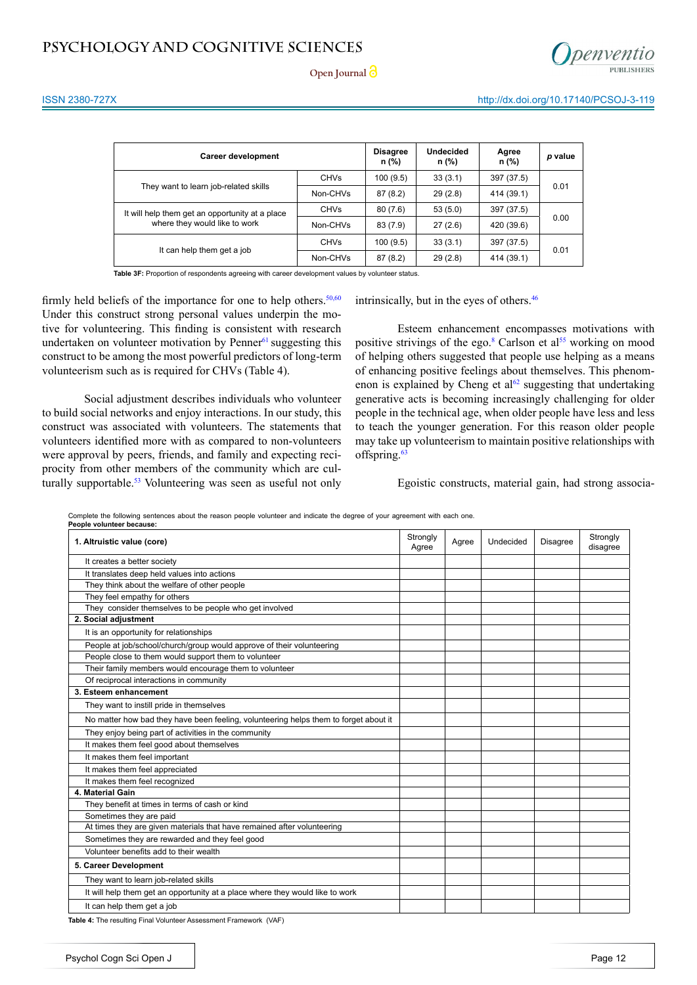

**Open Journal** 

| <b>Career development</b>                       |             | <b>Disagree</b><br>n (%) | <b>Undecided</b><br>n (%) | Agree<br>n (%) | p value |  |
|-------------------------------------------------|-------------|--------------------------|---------------------------|----------------|---------|--|
|                                                 | <b>CHVs</b> | 100(9.5)                 | 33(3.1)                   | 397 (37.5)     | 0.01    |  |
| They want to learn job-related skills           | Non-CHVs    | 87(8.2)                  | 29(2.8)                   | 414 (39.1)     |         |  |
| It will help them get an opportunity at a place | <b>CHVs</b> | 80(7.6)                  | 53(5.0)                   | 397 (37.5)     |         |  |
| where they would like to work                   | Non-CHVs    | 83 (7.9)                 | 27(2.6)                   | 420 (39.6)     | 0.00    |  |
|                                                 | <b>CHVs</b> | 100(9.5)                 | 33(3.1)                   | 397 (37.5)     | 0.01    |  |
| It can help them get a job                      | Non-CHVs    | 87(8.2)                  | 29(2.8)                   | 414 (39.1)     |         |  |

Table 3F: Proportion of respondents agreeing with career development values by volunteer status.

firmly held beliefs of the importance for one to help others. $50,60$  $50,60$  $50,60$ Under this construct strong personal values underpin the motive for volunteering. This finding is consistent with research undertaken on volunteer motivation by Penner $61$  suggesting this construct to be among the most powerful predictors of long-term volunteerism such as is required for CHVs (Table 4).

Social adjustment describes individuals who volunteer to build social networks and enjoy interactions. In our study, this construct was associated with volunteers. The statements that volunteers identified more with as compared to non-volunteers were approval by peers, friends, and family and expecting reciprocity from other members of the community which are cul-turally supportable.<sup>[53](#page-9-16)</sup> Volunteering was seen as useful not only intrinsically, but in the eyes of others.<sup>46</sup>

Esteem enhancement encompasses motivations with positive strivings of the ego.<sup>[8](#page-8-0)</sup> Carlson et al<sup>55</sup> working on mood of helping others suggested that people use helping as a means of enhancing positive feelings about themselves. This phenomenon is explained by Cheng et  $al<sup>62</sup>$  suggesting that undertaking generative acts is becoming increasingly challenging for older people in the technical age, when older people have less and less to teach the younger generation. For this reason older people may take up volunteerism to maintain positive relationships with offspring.<sup>[63](#page-10-4)</sup>

Egoistic constructs, material gain, had strong associa-

Complete the following sentences about the reason people volunteer and indicate the degree of your agreement with each one.

| People volunteer because:                                                            |                   |       |           |                 |                      |
|--------------------------------------------------------------------------------------|-------------------|-------|-----------|-----------------|----------------------|
| 1. Altruistic value (core)                                                           | Strongly<br>Agree | Agree | Undecided | <b>Disagree</b> | Strongly<br>disagree |
| It creates a better society                                                          |                   |       |           |                 |                      |
| It translates deep held values into actions                                          |                   |       |           |                 |                      |
| They think about the welfare of other people                                         |                   |       |           |                 |                      |
| They feel empathy for others                                                         |                   |       |           |                 |                      |
| They consider themselves to be people who get involved                               |                   |       |           |                 |                      |
| 2. Social adjustment                                                                 |                   |       |           |                 |                      |
| It is an opportunity for relationships                                               |                   |       |           |                 |                      |
| People at job/school/church/group would approve of their volunteering                |                   |       |           |                 |                      |
| People close to them would support them to volunteer                                 |                   |       |           |                 |                      |
| Their family members would encourage them to volunteer                               |                   |       |           |                 |                      |
| Of reciprocal interactions in community                                              |                   |       |           |                 |                      |
| 3. Esteem enhancement                                                                |                   |       |           |                 |                      |
| They want to instill pride in themselves                                             |                   |       |           |                 |                      |
| No matter how bad they have been feeling, volunteering helps them to forget about it |                   |       |           |                 |                      |
| They enjoy being part of activities in the community                                 |                   |       |           |                 |                      |
| It makes them feel good about themselves                                             |                   |       |           |                 |                      |
| It makes them feel important                                                         |                   |       |           |                 |                      |
| It makes them feel appreciated                                                       |                   |       |           |                 |                      |
| It makes them feel recognized                                                        |                   |       |           |                 |                      |
| 4. Material Gain                                                                     |                   |       |           |                 |                      |
| They benefit at times in terms of cash or kind                                       |                   |       |           |                 |                      |
| Sometimes they are paid                                                              |                   |       |           |                 |                      |
| At times they are given materials that have remained after volunteering              |                   |       |           |                 |                      |
| Sometimes they are rewarded and they feel good                                       |                   |       |           |                 |                      |
| Volunteer benefits add to their wealth                                               |                   |       |           |                 |                      |
| 5. Career Development                                                                |                   |       |           |                 |                      |
| They want to learn job-related skills                                                |                   |       |           |                 |                      |
| It will help them get an opportunity at a place where they would like to work        |                   |       |           |                 |                      |
| It can help them get a job                                                           |                   |       |           |                 |                      |

**Table 4:** The resulting Final Volunteer Assessment Framework (VAF)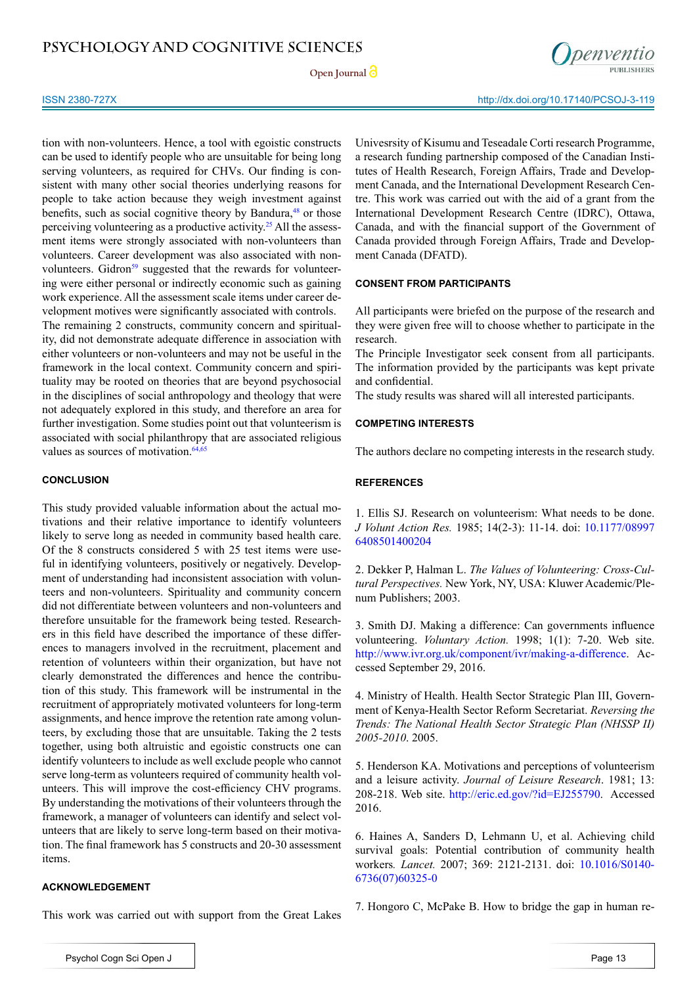Open Journal<sup>2</sup>



tion with non-volunteers. Hence, a tool with egoistic constructs can be used to identify people who are unsuitable for being long serving volunteers, as required for CHVs. Our finding is consistent with many other social theories underlying reasons for people to take action because they weigh investment against benefits, such as social cognitive theory by Bandura,<sup>48</sup> or those perceiving volunteering as a productive activity[.25](#page-8-15) All the assessment items were strongly associated with non-volunteers than volunteers. Career development was also associated with nonvolunteers. Gidron<sup>59</sup> suggested that the rewards for volunteering were either personal or indirectly economic such as gaining work experience. All the assessment scale items under career development motives were significantly associated with controls. The remaining 2 constructs, community concern and spirituality, did not demonstrate adequate difference in association with either volunteers or non-volunteers and may not be useful in the framework in the local context. Community concern and spirituality may be rooted on theories that are beyond psychosocial in the disciplines of social anthropology and theology that were not adequately explored in this study, and therefore an area for further investigation. Some studies point out that volunteerism is associated with social philanthropy that are associated religious values as sources of motivation.<sup>64,65</sup>

## **CONCLUSION**

This study provided valuable information about the actual motivations and their relative importance to identify volunteers likely to serve long as needed in community based health care. Of the 8 constructs considered 5 with 25 test items were useful in identifying volunteers, positively or negatively. Development of understanding had inconsistent association with volunteers and non-volunteers. Spirituality and community concern did not differentiate between volunteers and non-volunteers and therefore unsuitable for the framework being tested. Researchers in this field have described the importance of these differences to managers involved in the recruitment, placement and retention of volunteers within their organization, but have not clearly demonstrated the differences and hence the contribution of this study. This framework will be instrumental in the recruitment of appropriately motivated volunteers for long-term assignments, and hence improve the retention rate among volunteers, by excluding those that are unsuitable. Taking the 2 tests together, using both altruistic and egoistic constructs one can identify volunteers to include as well exclude people who cannot serve long-term as volunteers required of community health volunteers. This will improve the cost-efficiency CHV programs. By understanding the motivations of their volunteers through the framework, a manager of volunteers can identify and select volunteers that are likely to serve long-term based on their motivation. The final framework has 5 constructs and 20-30 assessment items.

## **ACKNOWLEDGEMENT**

This work was carried out with support from the Great Lakes

Univesrsity of Kisumu and Teseadale Corti research Programme, a research funding partnership composed of the Canadian Institutes of Health Research, Foreign Affairs, Trade and Development Canada, and the International Development Research Centre. This work was carried out with the aid of a grant from the International Development Research Centre (IDRC), Ottawa, Canada, and with the financial support of the Government of Canada provided through Foreign Affairs, Trade and Development Canada (DFATD).

## **CONSENT FROM PARTICIPANTS**

All participants were briefed on the purpose of the research and they were given free will to choose whether to participate in the research.

The Principle Investigator seek consent from all participants. The information provided by the participants was kept private and confidential.

The study results was shared will all interested participants.

### **COMPETING INTERESTS**

The authors declare no competing interests in the research study.

## **REFERENCES**

1. Ellis SJ. Research on volunteerism: What needs to be done. *J Volunt Action Res.* 1985; 14(2-3): 11-14. doi: [10.1177/08997](http://nvs.sagepub.com/content/14/2-3/11.extract) [6408501400204](http://nvs.sagepub.com/content/14/2-3/11.extract)

<span id="page-7-0"></span>2. Dekker P, Halman L. *The Values of Volunteering: Cross-Cultural Perspectives.* New York, NY, USA: Kluwer Academic/Plenum Publishers; 2003.

<span id="page-7-1"></span>3. Smith DJ. Making a difference: Can governments influence volunteering. *Voluntary Action.* 1998; 1(1): 7-20. Web site. <http://www.ivr.org.uk/component/ivr/making-a-difference>. Accessed September 29, 2016.

<span id="page-7-2"></span>4. Ministry of Health. Health Sector Strategic Plan III, Government of Kenya-Health Sector Reform Secretariat. *Reversing the Trends: The National Health Sector Strategic Plan (NHSSP II) 2005-2010*. 2005.

5. Henderson KA. Motivations and perceptions of volunteerism and a leisure activity. *Journal of Leisure Research*. 1981; 13: 208-218. Web site. [http://eric.ed.gov/?id=EJ255790](http://eric.ed.gov/%3Fid%3DEJ255790). Accessed 2016.

<span id="page-7-3"></span>6. Haines A, Sanders D, Lehmann U, et al. Achieving child survival goals: Potential contribution of community health workers*. Lancet.* 2007; 369: 2121-2131. doi: [10.1016/S0140-](http://www.thelancet.com/journals/lancet/article/PIIS0140-6736%2807%2960325-0/abstract) [6736\(07\)60325-0](http://www.thelancet.com/journals/lancet/article/PIIS0140-6736%2807%2960325-0/abstract)

<span id="page-7-4"></span>7. Hongoro C, McPake B. How to bridge the gap in human re-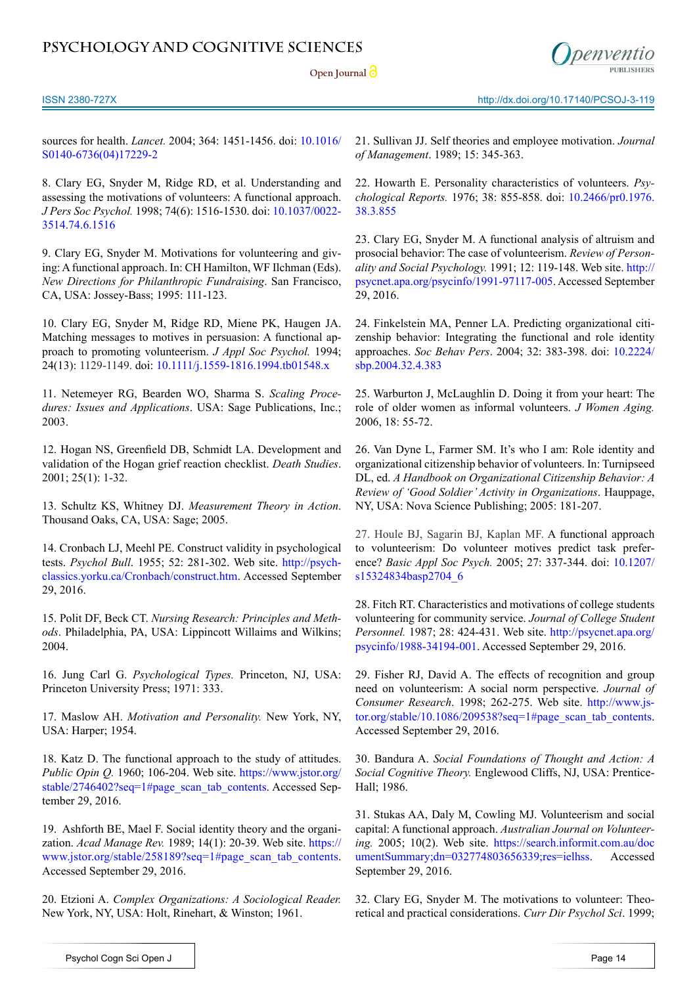**Open Journal** 



sources for health. *Lancet.* 2004; 364: 1451-1456. doi: [10.1016/](http://www.thelancet.com/journals/lancet/article/PIIS0140-6736%2804%2917229-2/abstract) [S0140-6736\(04\)17229-2](http://www.thelancet.com/journals/lancet/article/PIIS0140-6736%2804%2917229-2/abstract)

<span id="page-8-0"></span>8. Clary EG, Snyder M, Ridge RD, et al. Understanding and assessing the motivations of volunteers: A functional approach. *J Pers Soc Psychol.* 1998; 74(6): 1516-1530. doi: [10.1037/0022-](http://psycnet.apa.org/psycinfo/1998-02892-008) [3514.74.6.1516](http://psycnet.apa.org/psycinfo/1998-02892-008)

9. Clary EG, Snyder M. Motivations for volunteering and giving: A functional approach. In: CH Hamilton, WF Ilchman (Eds). *New Directions for Philanthropic Fundraising*. San Francisco, CA, USA: Jossey-Bass; 1995: 111-123.

<span id="page-8-21"></span>10. Clary EG, Snyder M, Ridge RD, Miene PK, Haugen JA. Matching messages to motives in persuasion: A functional approach to promoting volunteerism. *J Appl Soc Psychol.* 1994; 24(13): 1129-1149. doi: [10.1111/j.1559-1816.1994.tb01548.x](http://psycnet.apa.org/psycinfo/1995-08901-001)

<span id="page-8-1"></span>11. Netemeyer RG, Bearden WO, Sharma S. *Scaling Procedures: Issues and Applications*. USA: Sage Publications, Inc.; 2003.

<span id="page-8-2"></span>12. Hogan NS, Greenfield DB, Schmidt LA. Development and validation of the Hogan grief reaction checklist. *Death Studies*. 2001; 25(1): 1-32.

<span id="page-8-3"></span>13. Schultz KS, Whitney DJ. *Measurement Theory in Action*. Thousand Oaks, CA, USA: Sage; 2005.

<span id="page-8-4"></span>14. Cronbach LJ, Meehl PE. Construct validity in psychological tests. *Psychol Bull*. 1955; 52: 281-302. Web site. [http://psych](http://psychclassics.yorku.ca/Cronbach/construct.htm)[classics.yorku.ca/Cronbach/construct.htm](http://psychclassics.yorku.ca/Cronbach/construct.htm). Accessed September 29, 2016.

<span id="page-8-5"></span>15. Polit DF, Beck CT. *Nursing Research: Principles and Methods*. Philadelphia, PA, USA: Lippincott Willaims and Wilkins; 2004.

<span id="page-8-6"></span>16. Jung Carl G. *Psychological Types.* Princeton, NJ, USA: Princeton University Press; 1971: 333.

<span id="page-8-7"></span>17. Maslow AH. *Motivation and Personality.* New York, NY, USA: Harper; 1954.

<span id="page-8-8"></span>18. Katz D. The functional approach to the study of attitudes. *Public Opin Q.* 1960; 106-204. Web site. https://www.jstor.org/ stable/2746402?seq=1#page\_scan\_tab\_contents. Accessed September 29, 2016.

<span id="page-8-9"></span>19. Ashforth BE, Mael F. Social identity theory and the organization. *Acad Manage Rev.* 1989; 14(1): 20-39. Web site. https:// www.jstor.org/stable/258189?seq=1#page\_scan\_tab\_contents. Accessed September 29, 2016.

<span id="page-8-10"></span>20. Etzioni A. *Complex Organizations: A Sociological Reader.* New York, NY, USA: Holt, Rinehart, & Winston; 1961.

<span id="page-8-11"></span>21. Sullivan JJ. Self theories and employee motivation. *Journal of Management*. 1989; 15: 345-363.

<span id="page-8-12"></span>22. Howarth E. Personality characteristics of volunteers. *Psychological Reports.* 1976; 38: 855-858. doi: [10.2466/pr0.1976.](http://prx.sagepub.com/content/38/3/855.short) [38.3.855](http://prx.sagepub.com/content/38/3/855.short)

<span id="page-8-13"></span>23. Clary EG, Snyder M. A functional analysis of altruism and prosocial behavior: The case of volunteerism. *Review of Personality and Social Psychology.* 1991; 12: 119-148. Web site. [http://](http://psycnet.apa.org/psycinfo/1991-97117-005) [psycnet.apa.org/psycinfo/1991-97117-005](http://psycnet.apa.org/psycinfo/1991-97117-005). Accessed September 29, 2016.

<span id="page-8-14"></span>24. Finkelstein MA, Penner LA. Predicting organizational citizenship behavior: Integrating the functional and role identity approaches. *Soc Behav Pers*. 2004; 32: 383-398. doi: [10.2224/](http://www.ingentaconnect.com/content/sbp/sbp/2004/00000032/00000004/art00008) [sbp.2004.32.4.383](http://www.ingentaconnect.com/content/sbp/sbp/2004/00000032/00000004/art00008)

<span id="page-8-15"></span>25. Warburton J, McLaughlin D. Doing it from your heart: The role of older women as informal volunteers. *J Women Aging.*  2006, 18: 55-72.

<span id="page-8-16"></span>26. Van Dyne L, Farmer SM. It's who I am: Role identity and organizational citizenship behavior of volunteers. In: Turnipseed DL, ed. *A Handbook on Organizational Citizenship Behavior: A Review of 'Good Soldier' Activity in Organizations*. Hauppage, NY, USA: Nova Science Publishing; 2005: 181-207.

27. Houle BJ, Sagarin BJ, Kaplan MF. A functional approach to volunteerism: Do volunteer motives predict task preference? *Basic Appl Soc Psych.* 2005; 27: 337-344. doi: [10.1207/](http://www.tandfonline.com/doi/abs/10.1207/s15324834basp2704_6%20) [s15324834basp2704\\_6](http://www.tandfonline.com/doi/abs/10.1207/s15324834basp2704_6%20)

<span id="page-8-17"></span>28. Fitch RT. Characteristics and motivations of college students volunteering for community service. *Journal of College Student Personnel.* 1987; 28: 424-431. Web site. [http://psycnet.apa.org/](http://psycnet.apa.org/psycinfo/1988-34194-001) [psycinfo/1988-34194-001.](http://psycnet.apa.org/psycinfo/1988-34194-001) Accessed September 29, 2016.

29. Fisher RJ, David A. The effects of recognition and group need on volunteerism: A social norm perspective. *Journal of Consumer Research*. 1998; 262-275. Web site. [http://www.js](http://www.jstor.org/stable/10.1086/209538%3Fseq%3D1%23page_scan_tab_contents)[tor.org/stable/10.1086/209538?seq=1#page\\_scan\\_tab\\_contents](http://www.jstor.org/stable/10.1086/209538%3Fseq%3D1%23page_scan_tab_contents). Accessed September 29, 2016.

<span id="page-8-18"></span>30. Bandura A. *Social Foundations of Thought and Action: A Social Cognitive Theory.* Englewood Cliffs, NJ, USA: Prentice-Hall; 1986.

<span id="page-8-20"></span>31. Stukas AA, Daly M, Cowling MJ. Volunteerism and social capital: A functional approach. *Australian Journal on Volunteering.* 2005; 10(2). Web site. [https://search.informit.com.au/doc](https://search.informit.com.au/documentSummary;dn=032774803656339;res=ielhss) [umentSummary;dn=032774803656339;res=ielhss](https://search.informit.com.au/documentSummary;dn=032774803656339;res=ielhss). Accessed September 29, 2016.

<span id="page-8-19"></span>32. Clary EG, Snyder M. The motivations to volunteer: Theoretical and practical considerations. *Curr Dir Psychol Sci*. 1999;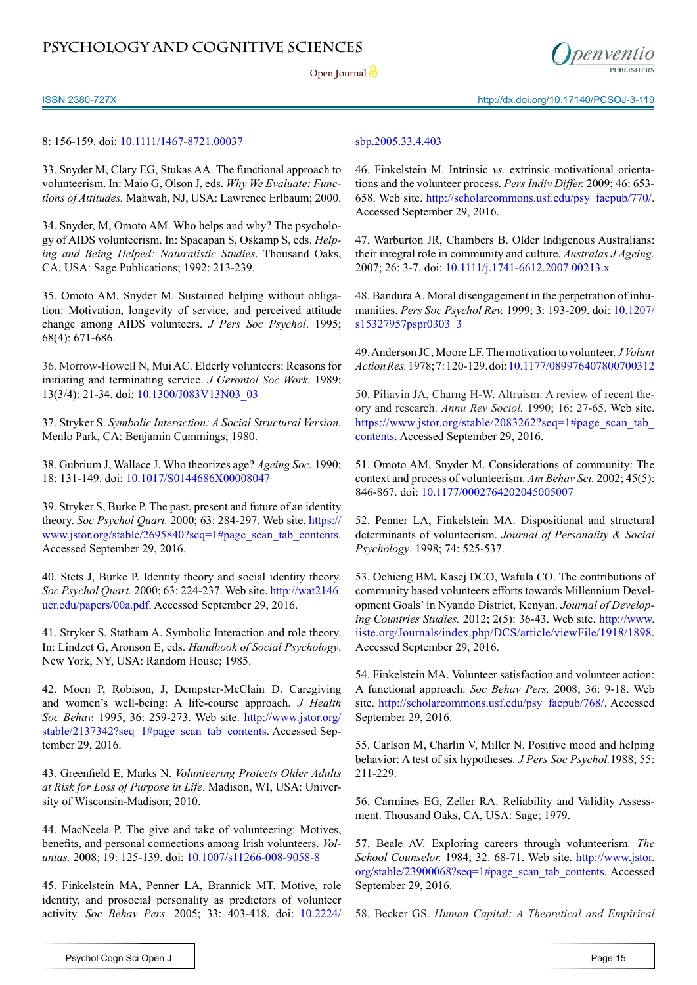Open Journal<sup>2</sup>

ISSN 2380-727X http://dx.doi.org/10.17140/PCSOJ-3-119

## 8: 156-159. doi: [10.1111/1467-8721.00037](http://cdp.sagepub.com/content/8/5/156.abstract)

33. Snyder M, Clary EG, Stukas AA. The functional approach to volunteerism. In: Maio G, Olson J, eds. *Why We Evaluate: Functions of Attitudes.* Mahwah, NJ, USA: Lawrence Erlbaum; 2000.

34. Snyder, M, Omoto AM. Who helps and why? The psychology of AIDS volunteerism. In: Spacapan S, Oskamp S, eds. *Helping and Being Helped: Naturalistic Studies*. Thousand Oaks, CA, USA: Sage Publications; 1992: 213-239.

<span id="page-9-1"></span>35. Omoto AM, Snyder M. Sustained helping without obligation: Motivation, longevity of service, and perceived attitude change among AIDS volunteers. *J Pers Soc Psychol*. 1995; 68(4): 671-686.

<span id="page-9-2"></span>36. Morrow-Howell N, Mui AC. Elderly volunteers: Reasons for initiating and terminating service. *J Gerontol Soc Work.* 1989; 13(3/4): 21-34. doi: [10.1300/J083V13N03\\_03](http://www.tandfonline.com/doi/abs/10.1300/J083V13N03_03%3FjournalCode%3Dwger20)

<span id="page-9-3"></span>37. Stryker S. *Symbolic Interaction: A Social Structural Version.* Menlo Park, CA: Benjamin Cummings; 1980.

<span id="page-9-4"></span>38. Gubrium J, Wallace J. Who theorizes age? *Ageing Soc.* 1990; 18: 131-149. doi: [10.1017/S0144686X00008047](https://www.cambridge.org/core/journals/ageing-and-society/article/who-theorises-age/E56B9C07AA39E74CF5B28918CCD0F698)

<span id="page-9-5"></span>39. Stryker S, Burke P. The past, present and future of an identity theory. *Soc Psychol Quart.* 2000; 63: 284-297. Web site. https:// www.jstor.org/stable/2695840?seq=1#page\_scan\_tab\_contents. Accessed September 29, 2016.

<span id="page-9-6"></span>40. Stets J, Burke P. Identity theory and social identity theory. *Soc Psychol Quart.* 2000; 63: 224-237. Web site. [http://wat2146.](http://wat2146.ucr.edu/papers/00a.pdf) [ucr.edu/papers/00a.pdf](http://wat2146.ucr.edu/papers/00a.pdf). Accessed September 29, 2016.

<span id="page-9-0"></span>41. Stryker S, Statham A. Symbolic Interaction and role theory. In: Lindzet G, Aronson E, eds. *Handbook of Social Psychology*. New York, NY, USA: Random House; 1985.

<span id="page-9-7"></span>42. Moen P, Robison, J, Dempster-McClain D. Caregiving and women's well-being: A life-course approach. *J Health Soc Behav.* 1995; 36: 259-273. Web site. http://www.jstor.org/ stable/2137342?seq=1#page\_scan\_tab\_contents. Accessed September 29, 2016.

<span id="page-9-8"></span>43. Greenfield E, Marks N. *Volunteering Protects Older Adults at Risk for Loss of Purpose in Life*. Madison, WI, USA: University of Wisconsin-Madison; 2010.

<span id="page-9-9"></span>44. MacNeela P. The give and take of volunteering: Motives, benefits, and personal connections among Irish volunteers. *Voluntas.* 2008; 19: 125-139. doi: [10.1007/s11266-008-9058-8](https://www.ncbi.nlm.nih.gov/pmc/articles/PMC3935220/)

45. Finkelstein MA, Penner LA, Brannick MT. Motive, role identity, and prosocial personality as predictors of volunteer activity. *Soc Behav Pers.* 2005; 33: 403-418. doi: [10.2224/](http://www.ingentaconnect.com/content/sbp/sbp/2005/00000033/00000004/art00007)

## [sbp.2005.33.4.403](http://www.ingentaconnect.com/content/sbp/sbp/2005/00000033/00000004/art00007)

<span id="page-9-10"></span>46. Finkelstein M. Intrinsic *vs.* extrinsic motivational orientations and the volunteer process. *Pers Indiv Differ.* 2009; 46: 653- 658. Web site. [http://scholarcommons.usf.edu/psy\\_facpub/770/](http://scholarcommons.usf.edu/psy_facpub/770/). Accessed September 29, 2016.

<span id="page-9-11"></span>47. Warburton JR, Chambers B. Older Indigenous Australians: their integral role in community and culture. *Australas J Ageing.*  2007; 26: 3-7. doi: [10.1111/j.1741-6612.2007.00213.x](http://espace.library.uq.edu.au/view/UQ:131005)

<span id="page-9-21"></span>48. Bandura A. Moral disengagement in the perpetration of inhumanities. *Pers Soc Psychol Rev.* 1999; 3: 193-209. doi: [10.1207/](http://psr.sagepub.com/content/3/3/193.short) [s15327957pspr0303\\_3](http://psr.sagepub.com/content/3/3/193.short) 

<span id="page-9-12"></span>49. Anderson JC, Moore LF. The motivation to volunteer. *J Volunt Action Res.* 1978; 7:120-129. doi: [10.1177/089976407800700312](http://nvs.sagepub.com/content/7/3/120.extract) 

<span id="page-9-13"></span>50. Piliavin JA, Charng H-W. Altruism: A review of recent theory and research. *Annu Rev Sociol.* 1990; 16: 27-65. Web site. https://www.jstor.org/stable/2083262?seq=1#page\_scan\_tab contents. Accessed September 29, 2016.

<span id="page-9-14"></span>51. Omoto AM, Snyder M. Considerations of community: The context and process of volunteerism. *Am Behav Sci.* 2002; 45(5): 846-867. doi: [10.1177/0002764202045005007](http://abs.sagepub.com/content/45/5/846.abstract)

<span id="page-9-15"></span>52. Penner LA, Finkelstein MA. Dispositional and structural determinants of volunteerism. *Journal of Personality & Social Psychology*. 1998; 74: 525-537.

<span id="page-9-16"></span>53. Ochieng BM**,** Kasej DCO, Wafula CO. The contributions of community based volunteers efforts towards Millennium Development Goals' in Nyando District, Kenyan. *Journal of Developing Countries Studies.* 2012; 2(5): 36-43. Web site. [http://www.](http://www.iiste.org/Journals/index.php/DCS/article/viewFile/1918/1898) [iiste.org/Journals/index.php/DCS/article/viewFile/1918/1898](http://www.iiste.org/Journals/index.php/DCS/article/viewFile/1918/1898). Accessed September 29, 2016.

<span id="page-9-17"></span>54. Finkelstein MA. Volunteer satisfaction and volunteer action: A functional approach. *Soc Behav Pers.* 2008; 36: 9-18. Web site. [http://scholarcommons.usf.edu/psy\\_facpub/768/](http://scholarcommons.usf.edu/psy_facpub/768/). Accessed September 29, 2016.

<span id="page-9-18"></span>55. Carlson M, Charlin V, Miller N. Positive mood and helping behavior: A test of six hypotheses. *J Pers Soc Psychol.*1988; 55: 211-229.

56. Carmines EG, Zeller RA. Reliability and Validity Assessment. Thousand Oaks, CA, USA: Sage; 1979.

<span id="page-9-19"></span>57. Beale AV. Exploring careers through volunteerism*. The School Counselor.* 1984; 32. 68-71. Web site. http://www.jstor. org/stable/23900068?seq=1#page\_scan\_tab\_contents. Accessed September 29, 2016.

<span id="page-9-20"></span>58. Becker GS. *Human Capital: A Theoretical and Empirical*